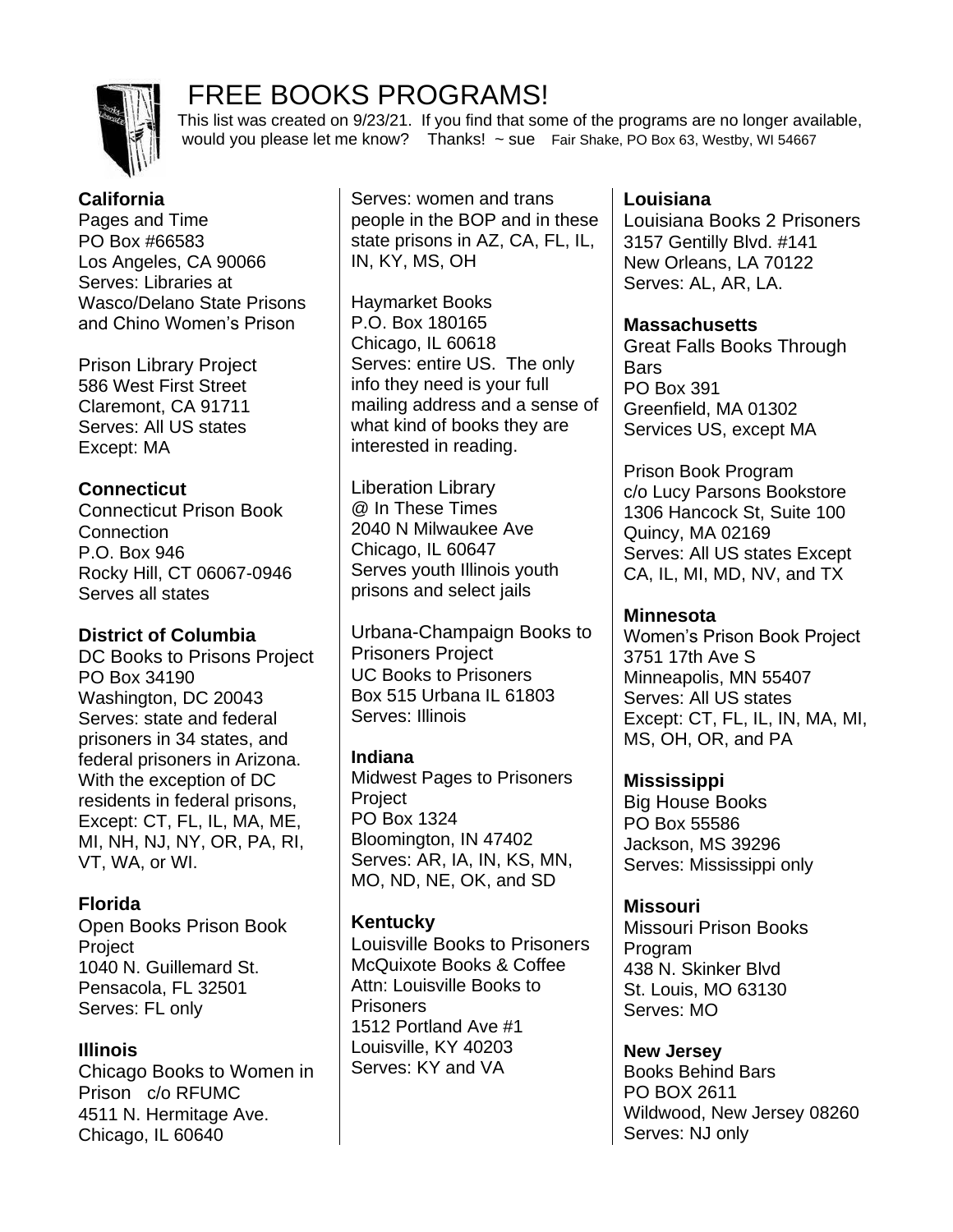

# FREE BOOKS PROGRAMS!

 This list was created on 9/23/21. If you find that some of the programs are no longer available, would you please let me know? Thanks! ~ sue Fair Shake, PO Box 63, Westby, WI 54667

# **California**

Pages and Time PO Box #66583 Los Angeles, CA 90066 Serves: Libraries at Wasco/Delano State Prisons and Chino Women's Prison

Prison Library Project 586 West First Street Claremont, CA 91711 Serves: All US states Except: MA

# **Connecticut**

Connecticut Prison Book **Connection** P.O. Box 946 Rocky Hill, CT 06067-0946 Serves all states

# **District of Columbia**

DC Books to Prisons Project PO Box 34190 Washington, DC 20043 Serves: state and federal prisoners in 34 states, and federal prisoners in Arizona. With the exception of DC residents in federal prisons, Except: CT, FL, IL, MA, ME, MI, NH, NJ, NY, OR, PA, RI, VT, WA, or WI.

# **Florida**

Open Books Prison Book Project 1040 N. Guillemard St. Pensacola, FL 32501 Serves: FL only

# **Illinois**

Chicago Books to Women in Prison c/o RFUMC 4511 N. Hermitage Ave. Chicago, IL 60640

Serves: women and trans people in the BOP and in these state prisons in AZ, CA, FL, IL, IN, KY, MS, OH

Haymarket Books P.O. Box 180165 Chicago, IL 60618 Serves: entire US. The only info they need is your full mailing address and a sense of what kind of books they are interested in reading.

Liberation Library @ In These Times 2040 N Milwaukee Ave Chicago, IL 60647 Serves youth Illinois youth prisons and select jails

Urbana-Champaign Books to Prisoners Project UC Books to Prisoners Box 515 Urbana IL 61803 Serves: Illinois

# **Indiana**

Midwest Pages to Prisoners **Project** PO Box 1324 Bloomington, IN 47402 Serves: AR, IA, IN, KS, MN, MO, ND, NE, OK, and SD

# **Kentucky**

Louisville Books to Prisoners McQuixote Books & Coffee Attn: Louisville Books to Prisoners 1512 Portland Ave #1 Louisville, KY 40203 Serves: KY and VA

# **Louisiana**

Louisiana Books 2 Prisoners 3157 Gentilly Blvd. #141 New Orleans, LA 70122 Serves: AL, AR, LA.

### **Massachusetts**

Great Falls Books Through Bars PO Box 391 Greenfield, MA 01302 Services US, except MA

Prison Book Program c/o Lucy Parsons Bookstore 1306 Hancock St, Suite 100 Quincy, MA 02169 Serves: All US states Except CA, IL, MI, MD, NV, and TX

# **Minnesota**

Women's Prison Book Project 3751 17th Ave S Minneapolis, MN 55407 Serves: All US states Except: CT, FL, IL, IN, MA, MI, MS, OH, OR, and PA

# **Mississippi**

Big House Books PO Box 55586 Jackson, MS 39296 Serves: Mississippi only

# **Missouri**

Missouri Prison Books Program 438 N. Skinker Blvd St. Louis, MO 63130 Serves: MO

**New Jersey**  Books Behind Bars PO BOX 2611 Wildwood, New Jersey 08260 Serves: NJ only